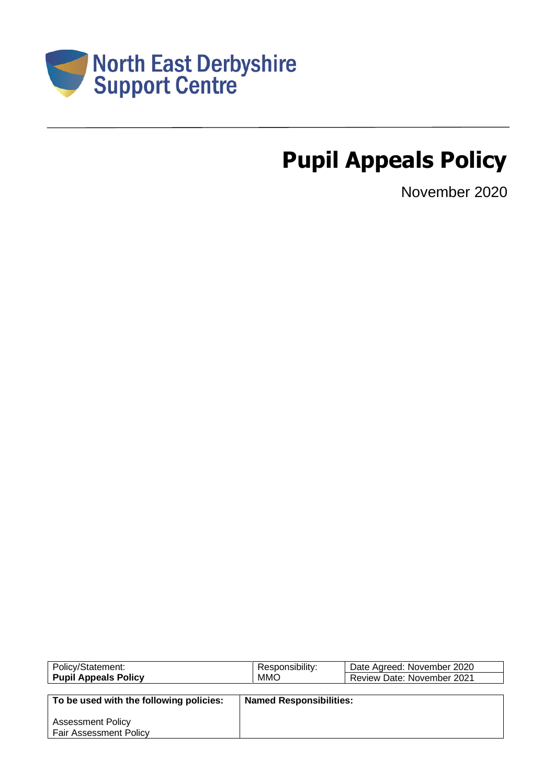

# **Pupil Appeals Policy**

November 2020

| Policy/Statement:                       | Responsibility:                | Date Agreed: November 2020        |  |
|-----------------------------------------|--------------------------------|-----------------------------------|--|
| <b>Pupil Appeals Policy</b>             | <b>MMO</b>                     | <b>Review Date: November 2021</b> |  |
|                                         |                                |                                   |  |
| To be used with the following policies: | <b>Named Responsibilities:</b> |                                   |  |
|                                         |                                |                                   |  |
| <b>Assessment Policy</b>                |                                |                                   |  |
| <b>Fair Assessment Policy</b>           |                                |                                   |  |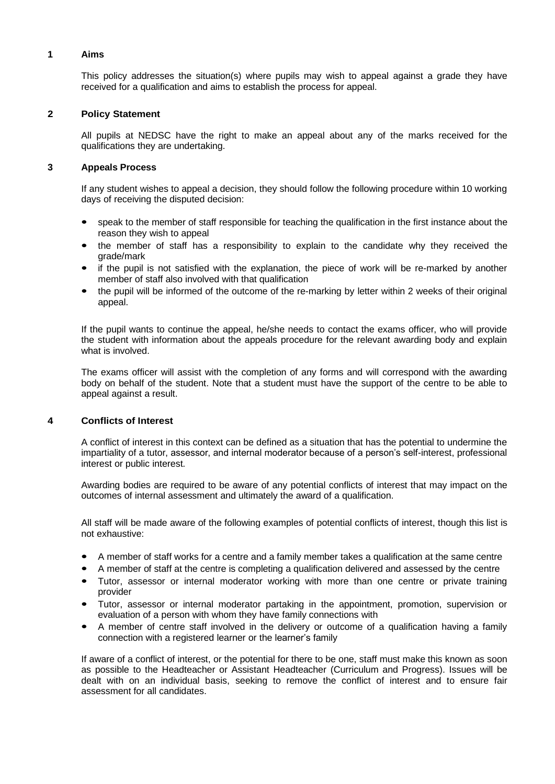# **1 Aims**

This policy addresses the situation(s) where pupils may wish to appeal against a grade they have received for a qualification and aims to establish the process for appeal.

# **2 Policy Statement**

All pupils at NEDSC have the right to make an appeal about any of the marks received for the qualifications they are undertaking.

# **3 Appeals Process**

If any student wishes to appeal a decision, they should follow the following procedure within 10 working days of receiving the disputed decision:

- speak to the member of staff responsible for teaching the qualification in the first instance about the reason they wish to appeal
- the member of staff has a responsibility to explain to the candidate why they received the grade/mark
- if the pupil is not satisfied with the explanation, the piece of work will be re-marked by another member of staff also involved with that qualification
- the pupil will be informed of the outcome of the re-marking by letter within 2 weeks of their original appeal.

If the pupil wants to continue the appeal, he/she needs to contact the exams officer, who will provide the student with information about the appeals procedure for the relevant awarding body and explain what is involved.

The exams officer will assist with the completion of any forms and will correspond with the awarding body on behalf of the student. Note that a student must have the support of the centre to be able to appeal against a result.

# **4 Conflicts of Interest**

A conflict of interest in this context can be defined as a situation that has the potential to undermine the impartiality of a tutor, assessor, and internal moderator because of a person's self-interest, professional interest or public interest.

Awarding bodies are required to be aware of any potential conflicts of interest that may impact on the outcomes of internal assessment and ultimately the award of a qualification.

All staff will be made aware of the following examples of potential conflicts of interest, though this list is not exhaustive:

- A member of staff works for a centre and a family member takes a qualification at the same centre
- A member of staff at the centre is completing a qualification delivered and assessed by the centre
- Tutor, assessor or internal moderator working with more than one centre or private training provider
- Tutor, assessor or internal moderator partaking in the appointment, promotion, supervision or evaluation of a person with whom they have family connections with
- A member of centre staff involved in the delivery or outcome of a qualification having a family connection with a registered learner or the learner's family

If aware of a conflict of interest, or the potential for there to be one, staff must make this known as soon as possible to the Headteacher or Assistant Headteacher (Curriculum and Progress). Issues will be dealt with on an individual basis, seeking to remove the conflict of interest and to ensure fair assessment for all candidates.